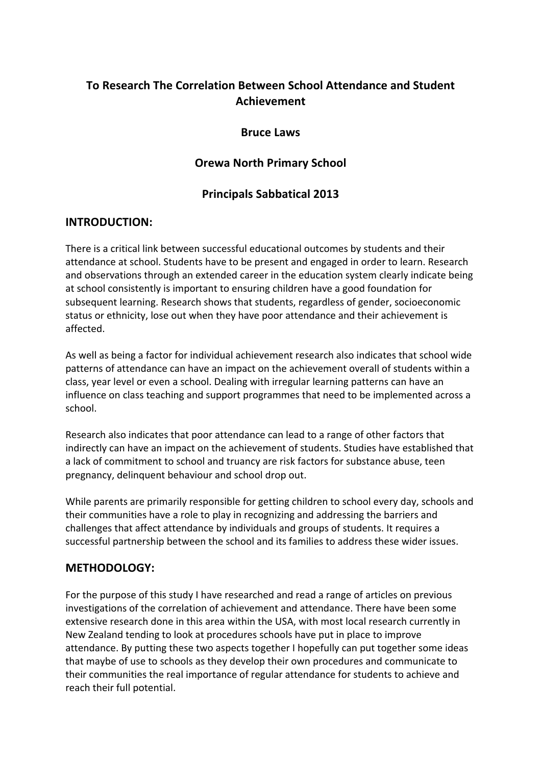# **To Research The Correlation Between School Attendance and Student Achievement**

### **Bruce Laws**

## **Orewa North Primary School**

### **Principals#Sabbatical#2013**

### **INTRODUCTION:**

There is a critical link between successful educational outcomes by students and their attendance at school. Students have to be present and engaged in order to learn. Research and observations through an extended career in the education system clearly indicate being at school consistently is important to ensuring children have a good foundation for subsequent learning. Research shows that students, regardless of gender, socioeconomic status or ethnicity, lose out when they have poor attendance and their achievement is affected.

As well as being a factor for individual achievement research also indicates that school wide patterns of attendance can have an impact on the achievement overall of students within a class, year level or even a school. Dealing with irregular learning patterns can have an influence on class teaching and support programmes that need to be implemented across a school.

Research also indicates that poor attendance can lead to a range of other factors that indirectly can have an impact on the achievement of students. Studies have established that a lack of commitment to school and truancy are risk factors for substance abuse, teen pregnancy, delinquent behaviour and school drop out.

While parents are primarily responsible for getting children to school every day, schools and their communities have a role to play in recognizing and addressing the barriers and challenges that affect attendance by individuals and groups of students. It requires a successful partnership between the school and its families to address these wider issues.

### **METHODOLOGY:**

For the purpose of this study I have researched and read a range of articles on previous investigations of the correlation of achievement and attendance. There have been some extensive research done in this area within the USA, with most local research currently in New Zealand tending to look at procedures schools have put in place to improve attendance. By putting these two aspects together I hopefully can put together some ideas that maybe of use to schools as they develop their own procedures and communicate to their communities the real importance of regular attendance for students to achieve and reach their full potential.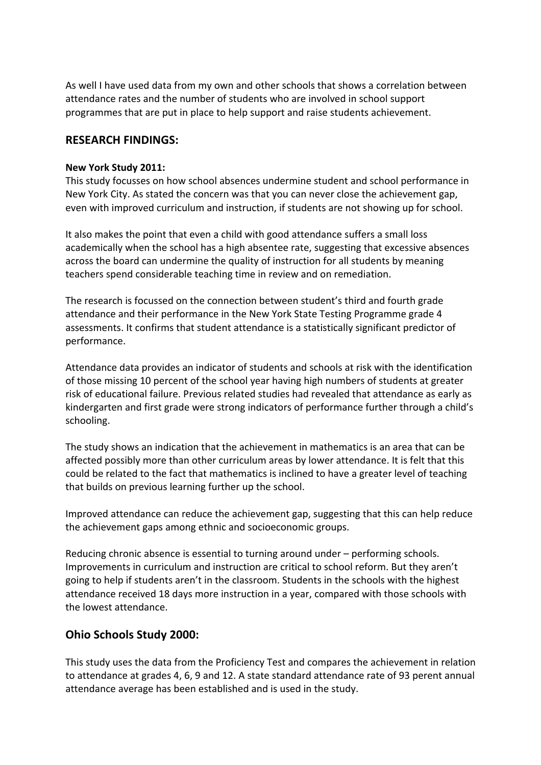As well I have used data from my own and other schools that shows a correlation between attendance rates and the number of students who are involved in school support programmes that are put in place to help support and raise students achievement.

#### **RESEARCH FINDINGS:**

#### **New York Study 2011:**

This study focusses on how school absences undermine student and school performance in New York City. As stated the concern was that you can never close the achievement gap, even with improved curriculum and instruction, if students are not showing up for school.

It also makes the point that even a child with good attendance suffers a small loss academically when the school has a high absentee rate, suggesting that excessive absences across the board can undermine the quality of instruction for all students by meaning teachers spend considerable teaching time in review and on remediation.

The research is focussed on the connection between student's third and fourth grade attendance and their performance in the New York State Testing Programme grade 4 assessments. It confirms that student attendance is a statistically significant predictor of performance.

Attendance data provides an indicator of students and schools at risk with the identification of those missing 10 percent of the school year having high numbers of students at greater risk of educational failure. Previous related studies had revealed that attendance as early as kindergarten and first grade were strong indicators of performance further through a child's schooling.

The study shows an indication that the achievement in mathematics is an area that can be affected possibly more than other curriculum areas by lower attendance. It is felt that this could be related to the fact that mathematics is inclined to have a greater level of teaching that builds on previous learning further up the school.

Improved attendance can reduce the achievement gap, suggesting that this can help reduce the achievement gaps among ethnic and socioeconomic groups.

Reducing chronic absence is essential to turning around under – performing schools. Improvements in curriculum and instruction are critical to school reform. But they aren't going to help if students aren't in the classroom. Students in the schools with the highest attendance received 18 days more instruction in a year, compared with those schools with the lowest attendance.

### **Ohio Schools Study 2000:**

This study uses the data from the Proficiency Test and compares the achievement in relation to attendance at grades 4, 6, 9 and 12. A state standard attendance rate of 93 perent annual attendance average has been established and is used in the study.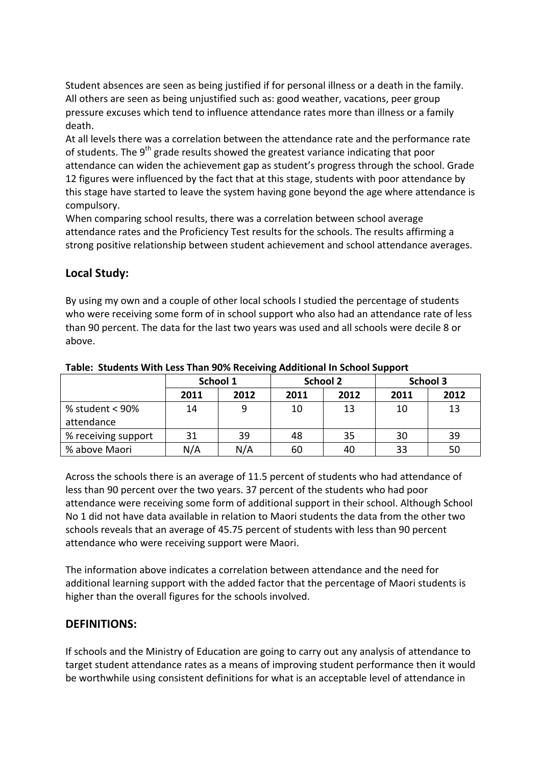Student absences are seen as being justified if for personal illness or a death in the family. All others are seen as being unjustified such as: good weather, vacations, peer group pressure excuses which tend to influence attendance rates more than illness or a family death.

At all levels there was a correlation between the attendance rate and the performance rate of students. The  $9<sup>th</sup>$  grade results showed the greatest variance indicating that poor attendance can widen the achievement gap as student's progress through the school. Grade 12 figures were influenced by the fact that at this stage, students with poor attendance by this stage have started to leave the system having gone beyond the age where attendance is compulsory.

When comparing school results, there was a correlation between school average attendance rates and the Proficiency Test results for the schools. The results affirming a strong positive relationship between student achievement and school attendance averages.

## Local Study:

By using my own and a couple of other local schools I studied the percentage of students who were receiving some form of in school support who also had an attendance rate of less than 90 percent. The data for the last two years was used and all schools were decile 8 or above.

|                     | School 1 |      | <b>School 2</b> |      | School 3 |      |
|---------------------|----------|------|-----------------|------|----------|------|
|                     | 2011     | 2012 | 2011            | 2012 | 2011     | 2012 |
| % student $< 90\%$  | 14       | 9    | 10              | 13   | 10       | 13   |
| attendance          |          |      |                 |      |          |      |
| % receiving support | 31       | 39   | 48              | 35   | 30       | 39   |
| % above Maori       | N/A      | N/A  | 60              | 40   | 33       | 50   |

#### **Table: Students With Less Than 90% Receiving Additional In School Support**

Across the schools there is an average of 11.5 percent of students who had attendance of less than 90 percent over the two years. 37 percent of the students who had poor attendance were receiving some form of additional support in their school. Although School No 1 did not have data available in relation to Maori students the data from the other two schools reveals that an average of 45.75 percent of students with less than 90 percent attendance who were receiving support were Maori.

The information above indicates a correlation between attendance and the need for additional learning support with the added factor that the percentage of Maori students is higher than the overall figures for the schools involved.

### **DEFINITIONS:**

If schools and the Ministry of Education are going to carry out any analysis of attendance to target student attendance rates as a means of improving student performance then it would be worthwhile using consistent definitions for what is an acceptable level of attendance in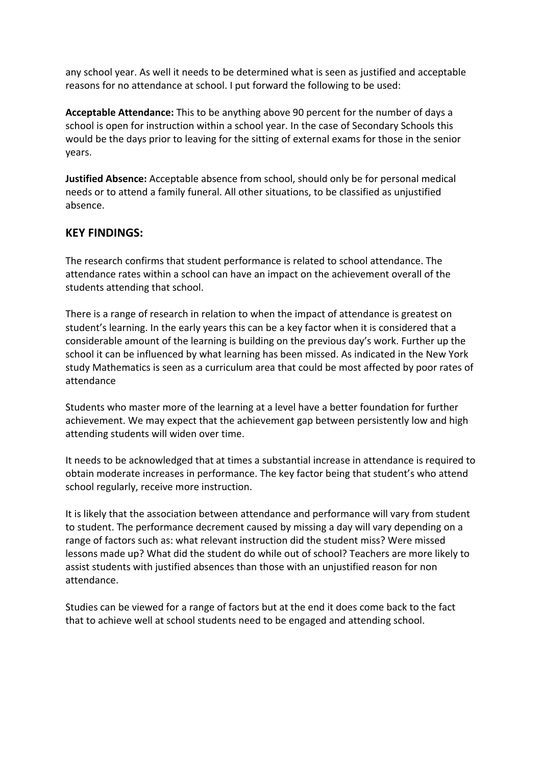any school year. As well it needs to be determined what is seen as justified and acceptable reasons for no attendance at school. I put forward the following to be used:

**Acceptable Attendance:** This to be anything above 90 percent for the number of days a school is open for instruction within a school year. In the case of Secondary Schools this would be the days prior to leaving for the sitting of external exams for those in the senior years.

**Justified Absence:** Acceptable absence from school, should only be for personal medical needs or to attend a family funeral. All other situations, to be classified as unjustified absence.

### **KEY FINDINGS:**

The research confirms that student performance is related to school attendance. The attendance rates within a school can have an impact on the achievement overall of the students attending that school.

There is a range of research in relation to when the impact of attendance is greatest on student's learning. In the early years this can be a key factor when it is considered that a considerable amount of the learning is building on the previous day's work. Further up the school it can be influenced by what learning has been missed. As indicated in the New York study Mathematics is seen as a curriculum area that could be most affected by poor rates of attendance

Students who master more of the learning at a level have a better foundation for further achievement. We may expect that the achievement gap between persistently low and high attending students will widen over time.

It needs to be acknowledged that at times a substantial increase in attendance is required to obtain moderate increases in performance. The key factor being that student's who attend school regularly, receive more instruction.

It is likely that the association between attendance and performance will vary from student to student. The performance decrement caused by missing a day will vary depending on a range of factors such as: what relevant instruction did the student miss? Were missed lessons made up? What did the student do while out of school? Teachers are more likely to assist students with justified absences than those with an unjustified reason for non attendance.

Studies can be viewed for a range of factors but at the end it does come back to the fact that to achieve well at school students need to be engaged and attending school.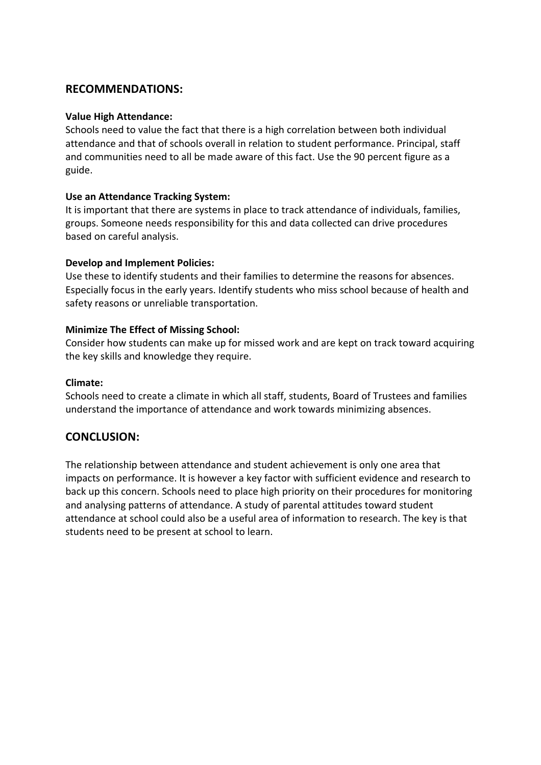### **RECOMMENDATIONS:**

#### **Value High Attendance:**

Schools need to value the fact that there is a high correlation between both individual attendance and that of schools overall in relation to student performance. Principal, staff and communities need to all be made aware of this fact. Use the 90 percent figure as a guide.

#### **Use an Attendance Tracking System:**

It is important that there are systems in place to track attendance of individuals, families, groups. Someone needs responsibility for this and data collected can drive procedures based on careful analysis.

#### **Develop and Implement Policies:**

Use these to identify students and their families to determine the reasons for absences. Especially focus in the early years. Identify students who miss school because of health and safety reasons or unreliable transportation.

#### **Minimize The Effect of Missing School:**

Consider how students can make up for missed work and are kept on track toward acquiring the key skills and knowledge they require.

#### **Climate:**

Schools need to create a climate in which all staff, students, Board of Trustees and families understand the importance of attendance and work towards minimizing absences.

#### **CONCLUSION:**

The relationship between attendance and student achievement is only one area that impacts on performance. It is however a key factor with sufficient evidence and research to back up this concern. Schools need to place high priority on their procedures for monitoring and analysing patterns of attendance. A study of parental attitudes toward student attendance at school could also be a useful area of information to research. The key is that students need to be present at school to learn.